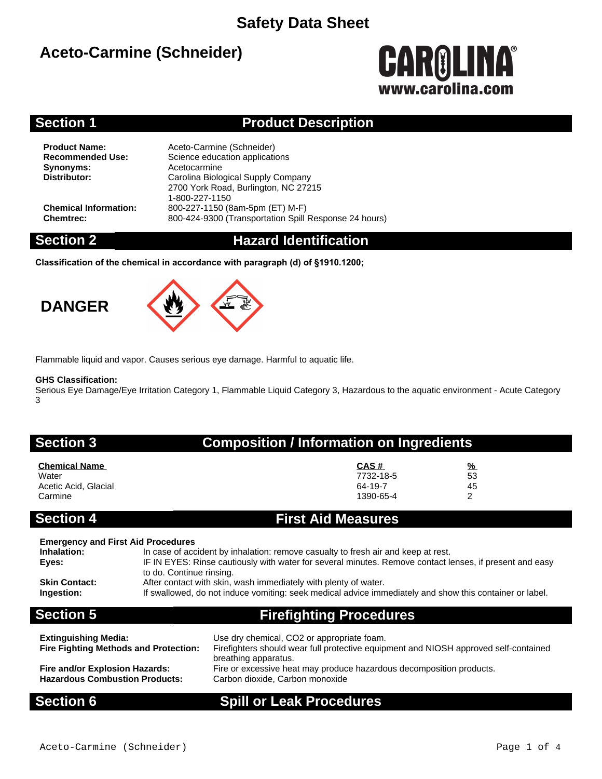# **Aceto-Carmine (Schneider)**



### **Section 1 Product Description**

**Synonyms:** Acetocarmine<br> **Distributor:** Carolina Biolo

**Product Name:** Aceto-Carmine (Schneider)<br> **Recommended Use:** Science education application **Science education applications Distributor:** Carolina Biological Supply Company 2700 York Road, Burlington, NC 27215 1-800-227-1150 **Chemical Information:** 800-227-1150 (8am-5pm (ET) M-F) **Chemtrec:** 800-424-9300 (Transportation Spill Response 24 hours)

### **Section 2 Hazard Identification**

**Classification of the chemical in accordance with paragraph (d) of §1910.1200;**

# **DANGER**



Flammable liquid and vapor. Causes serious eye damage. Harmful to aquatic life.

### **GHS Classification:**

Serious Eye Damage/Eye Irritation Category 1, Flammable Liquid Category 3, Hazardous to the aquatic environment - Acute Category 3

## **Section 3 Composition / Information on Ingredients**

| <b>Chemical Name</b> | CAS#      | $\frac{9}{6}$ |
|----------------------|-----------|---------------|
| Water                | 7732-18-5 | 53            |
| Acetic Acid, Glacial | 64-19-7   | 45            |
| Carmine              | 1390-65-4 | ົ             |

### **Section 4 First Aid Measures**

| <b>Emergency and First Aid Procedures</b> |                                                                                                                                     |
|-------------------------------------------|-------------------------------------------------------------------------------------------------------------------------------------|
| Inhalation:                               | In case of accident by inhalation: remove casualty to fresh air and keep at rest.                                                   |
| Eves:                                     | IF IN EYES: Rinse cautiously with water for several minutes. Remove contact lenses, if present and easy<br>to do. Continue rinsing. |
| <b>Skin Contact:</b>                      | After contact with skin, wash immediately with plenty of water.                                                                     |
| Ingestion:                                | If swallowed, do not induce vomiting: seek medical advice immediately and show this container or label.                             |
| <b>Section 5</b>                          | <b>Firefighting Procedures</b>                                                                                                      |

| <b>Extinguishing Media:</b><br><b>Fire Fighting Methods and Protection:</b> | Use dry chemical, CO2 or appropriate foam.<br>Firefighters should wear full protective equipment and NIOSH approved self-contained<br>breathing apparatus. |
|-----------------------------------------------------------------------------|------------------------------------------------------------------------------------------------------------------------------------------------------------|
| Fire and/or Explosion Hazards:                                              | Fire or excessive heat may produce hazardous decomposition products.                                                                                       |
| <b>Hazardous Combustion Products:</b>                                       | Carbon dioxide, Carbon monoxide                                                                                                                            |

### **Section 6 Spill or Leak Procedures**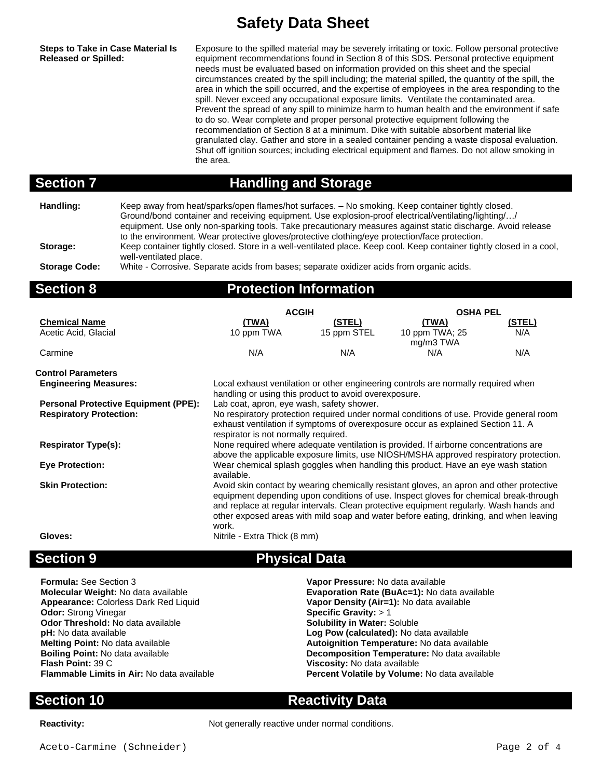**Steps to Take in Case Material Is Released or Spilled:**

Exposure to the spilled material may be severely irritating or toxic. Follow personal protective equipment recommendations found in Section 8 of this SDS. Personal protective equipment needs must be evaluated based on information provided on this sheet and the special circumstances created by the spill including; the material spilled, the quantity of the spill, the area in which the spill occurred, and the expertise of employees in the area responding to the spill. Never exceed any occupational exposure limits. Ventilate the contaminated area. Prevent the spread of any spill to minimize harm to human health and the environment if safe to do so. Wear complete and proper personal protective equipment following the recommendation of Section 8 at a minimum. Dike with suitable absorbent material like granulated clay. Gather and store in a sealed container pending a waste disposal evaluation. Shut off ignition sources; including electrical equipment and flames. Do not allow smoking in the area.

### **Section 7 Handling and Storage**

**Handling:** Keep away from heat/sparks/open flames/hot surfaces. – No smoking. Keep container tightly closed. Ground/bond container and receiving equipment. Use explosion-proof electrical/ventilating/lighting/…/ equipment. Use only non-sparking tools. Take precautionary measures against static discharge. Avoid release to the environment. Wear protective gloves/protective clothing/eye protection/face protection. **Storage:** Keep container tightly closed. Store in a well-ventilated place. Keep cool. Keep container tightly closed in a cool, well-ventilated place. **Storage Code:** White - Corrosive. Separate acids from bases; separate oxidizer acids from organic acids.

| <b>Section 8</b>                            | <b>Protection Information</b>                                                                                                               |             |                                                                                       |                 |  |
|---------------------------------------------|---------------------------------------------------------------------------------------------------------------------------------------------|-------------|---------------------------------------------------------------------------------------|-----------------|--|
|                                             | <b>ACGIH</b>                                                                                                                                |             |                                                                                       | <b>OSHA PEL</b> |  |
| <b>Chemical Name</b>                        | <u>(TWA)</u>                                                                                                                                | (STEL)      | (TWA)                                                                                 | (STEL)          |  |
| Acetic Acid, Glacial                        | 10 ppm TWA                                                                                                                                  | 15 ppm STEL | 10 ppm TWA; 25<br>mg/m3 TWA                                                           | N/A             |  |
| Carmine                                     | N/A                                                                                                                                         | N/A         | N/A                                                                                   | N/A             |  |
| <b>Control Parameters</b>                   |                                                                                                                                             |             |                                                                                       |                 |  |
| <b>Engineering Measures:</b>                | Local exhaust ventilation or other engineering controls are normally required when<br>handling or using this product to avoid overexposure. |             |                                                                                       |                 |  |
| <b>Personal Protective Equipment (PPE):</b> | Lab coat, apron, eye wash, safety shower.                                                                                                   |             |                                                                                       |                 |  |
| <b>Respiratory Protection:</b>              | No respiratory protection required under normal conditions of use. Provide general room                                                     |             |                                                                                       |                 |  |
|                                             | respirator is not normally required.                                                                                                        |             | exhaust ventilation if symptoms of overexposure occur as explained Section 11. A      |                 |  |
| <b>Respirator Type(s):</b>                  | None required where adequate ventilation is provided. If airborne concentrations are                                                        |             |                                                                                       |                 |  |
|                                             |                                                                                                                                             |             | above the applicable exposure limits, use NIOSH/MSHA approved respiratory protection. |                 |  |
| <b>Eve Protection:</b>                      | Wear chemical splash goggles when handling this product. Have an eye wash station<br>available.                                             |             |                                                                                       |                 |  |

**Skin Protection:** Avoid skin contact by wearing chemically resistant gloves, an apron and other protective equipment depending upon conditions of use. Inspect gloves for chemical break-through and replace at regular intervals. Clean protective equipment regularly. Wash hands and other exposed areas with mild soap and water before eating, drinking, and when leaving work.

Gloves: Gloves: **Nitrile - Extra Thick (8 mm)** 

## **Section 9 Physical Data**

| <b>Formula:</b> See Section 3                     | Vapor Pressure: No data available             |
|---------------------------------------------------|-----------------------------------------------|
| Molecular Weight: No data available               | Evaporation Rate (BuAc=1): No data available  |
| Appearance: Colorless Dark Red Liquid             | Vapor Density (Air=1): No data available      |
| <b>Odor: Strong Vinegar</b>                       | Specific Gravity: $> 1$                       |
| Odor Threshold: No data available                 | <b>Solubility in Water: Soluble</b>           |
| <b>pH:</b> No data available                      | Log Pow (calculated): No data available       |
| <b>Melting Point: No data available</b>           | Autoignition Temperature: No data available   |
| <b>Boiling Point: No data available</b>           | Decomposition Temperature: No data available  |
| <b>Flash Point: 39 C</b>                          | Viscosity: No data available                  |
| <b>Flammable Limits in Air: No data available</b> | Percent Volatile by Volume: No data available |

**Section 10 Reactivity Data**

**Reactivity:** Not generally reactive under normal conditions.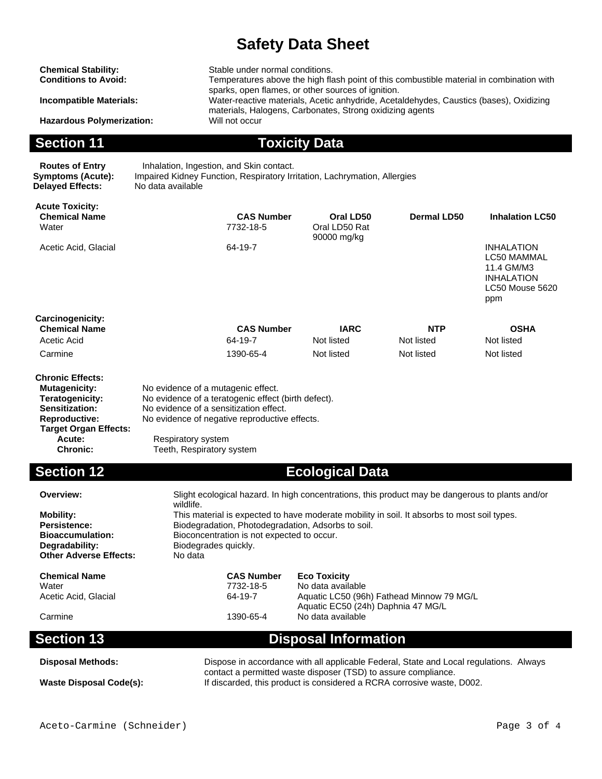sparks, open flames, or other sources of ignition.

materials, Halogens, Carbonates, Strong oxidizing agents

Temperatures above the high flash point of this combustible material in combination with

**Chemical Stability:** Stable under normal conditions.<br> **Conditions to Avoid:** Temperatures above the high fla

**Incompatible Materials:** Water-reactive materials, Acetic anhydride, Acetaldehydes, Caustics (bases), Oxidizing

**Hazardous Polymerization:** 

**Section 11 Toxicity Data** 

**Delayed Effects:** No data available

**Routes of Entry** Inhalation, Ingestion, and Skin contact.<br>**Symptoms (Acute):** Impaired Kidney Function, Respiratory Irr Impaired Kidney Function, Respiratory Irritation, Lachrymation, Allergies

| <b>Acute Toxicity:</b><br><b>Chemical Name</b><br>Water | <b>CAS Number</b><br>7732-18-5    | Oral LD50<br>Oral LD50 Rat<br>90000 mg/kg | Dermal LD50 | <b>Inhalation LC50</b>                                                                               |
|---------------------------------------------------------|-----------------------------------|-------------------------------------------|-------------|------------------------------------------------------------------------------------------------------|
| Acetic Acid, Glacial                                    | 64-19-7                           |                                           |             | <b>INHALATION</b><br><b>LC50 MAMMAL</b><br>11.4 GM/M3<br><b>INHALATION</b><br>LC50 Mouse 5620<br>ppm |
| <b>Carcinogenicity:</b>                                 |                                   |                                           |             |                                                                                                      |
| <b>Chemical Name</b>                                    | <b>CAS Number</b>                 | <b>IARC</b>                               | <b>NTP</b>  | <b>OSHA</b>                                                                                          |
| Acetic Acid                                             | 64-19-7                           | Not listed                                | Not listed  | Not listed                                                                                           |
| Carmine                                                 | 1390-65-4                         | Not listed                                | Not listed  | Not listed                                                                                           |
| <b>Chronic Effects:</b><br>Mutagenicity:                | No evidence of a mutanenic effect |                                           |             |                                                                                                      |

| <b>Mutagenicity:</b>         | No evidence of a mutagenic effect.                  |
|------------------------------|-----------------------------------------------------|
| Teratogenicity:              | No evidence of a teratogenic effect (birth defect). |
| Sensitization:               | No evidence of a sensitization effect.              |
| <b>Reproductive:</b>         | No evidence of negative reproductive effects.       |
| <b>Target Organ Effects:</b> |                                                     |
| Acute:                       | Respiratory system                                  |
| <b>Chronic:</b>              | Teeth, Respiratory system                           |

**Section 12 Ecological Data** 

| Overview:<br><b>Mobility:</b><br>Persistence:<br><b>Bioaccumulation:</b><br>Degradability:<br><b>Other Adverse Effects:</b> | Slight ecological hazard. In high concentrations, this product may be dangerous to plants and/or<br>wildlife.<br>This material is expected to have moderate mobility in soil. It absorbs to most soil types.<br>Biodegradation, Photodegradation, Adsorbs to soil.<br>Bioconcentration is not expected to occur.<br>Biodegrades guickly.<br>No data |                                                                                 |  |
|-----------------------------------------------------------------------------------------------------------------------------|-----------------------------------------------------------------------------------------------------------------------------------------------------------------------------------------------------------------------------------------------------------------------------------------------------------------------------------------------------|---------------------------------------------------------------------------------|--|
| <b>Chemical Name</b>                                                                                                        | <b>CAS Number</b>                                                                                                                                                                                                                                                                                                                                   | <b>Eco Toxicity</b>                                                             |  |
| Water                                                                                                                       | 7732-18-5                                                                                                                                                                                                                                                                                                                                           | No data available                                                               |  |
| Acetic Acid, Glacial                                                                                                        | 64-19-7                                                                                                                                                                                                                                                                                                                                             | Aquatic LC50 (96h) Fathead Minnow 79 MG/L<br>Aquatic EC50 (24h) Daphnia 47 MG/L |  |
| Carmine                                                                                                                     | 1390-65-4                                                                                                                                                                                                                                                                                                                                           | No data available                                                               |  |
| <b>Section 13</b>                                                                                                           |                                                                                                                                                                                                                                                                                                                                                     | <b>Disposal Information</b>                                                     |  |
| <b>Disposal Methods:</b>                                                                                                    | Dispose in accordance with all applicable Federal, State and Local regulations. Always                                                                                                                                                                                                                                                              |                                                                                 |  |
| <b>Waste Disposal Code(s):</b>                                                                                              | contact a permitted waste disposer (TSD) to assure compliance.<br>If discarded, this product is considered a RCRA corrosive waste, D002.                                                                                                                                                                                                            |                                                                                 |  |